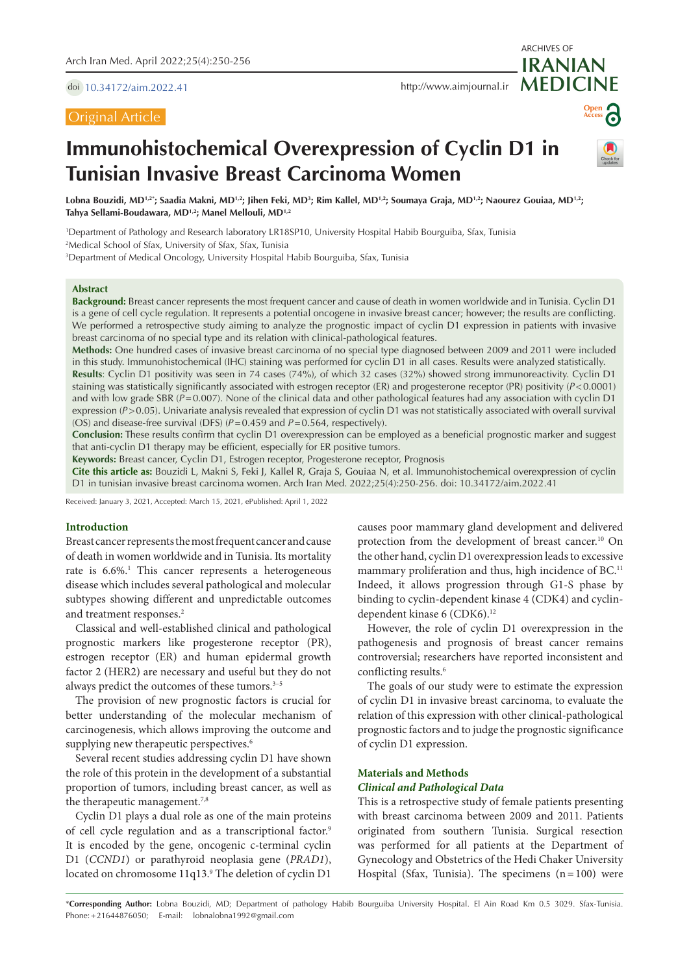doi [10.34172/aim.2022.41](https://doi.org/10.34172/aim.2022.41)

## Original Article

**MEDICINE** <http://www.aimjournal.ir>



ARCHIVES OF

**IRANIAN**

# **Immunohistochemical Overexpression of Cyclin D1 in Tunisian Invasive Breast Carcinoma Women**



Lobna Bouzidi, MD<sup>1,2</sup>'; Saadia Makni, MD<sup>1,2</sup>; Jihen Feki, MD<sup>3</sup>; Rim Kallel, MD<sup>1,2</sup>; Soumaya Graja, MD<sup>1,2</sup>; Naourez Gouiaa, MD<sup>1,2</sup>; **Tahya Sellami-Boudawara, MD1,2; Manel Mellouli, MD1,2**

1 Department of Pathology and Research laboratory LR18SP10, University Hospital Habib Bourguiba, Sfax, Tunisia 2 Medical School of Sfax, University of Sfax, Sfax, Tunisia

3 Department of Medical Oncology, University Hospital Habib Bourguiba, Sfax, Tunisia

#### **Abstract**

**Background:** Breast cancer represents the most frequent cancer and cause of death in women worldwide and in Tunisia. Cyclin D1 is a gene of cell cycle regulation. It represents a potential oncogene in invasive breast cancer; however; the results are conflicting. We performed a retrospective study aiming to analyze the prognostic impact of cyclin D1 expression in patients with invasive breast carcinoma of no special type and its relation with clinical-pathological features.

**Methods:** One hundred cases of invasive breast carcinoma of no special type diagnosed between 2009 and 2011 were included in this study. Immunohistochemical (IHC) staining was performed for cyclin D1 in all cases. Results were analyzed statistically.

**Results**: Cyclin D1 positivity was seen in 74 cases (74%), of which 32 cases (32%) showed strong immunoreactivity. Cyclin D1 staining was statistically significantly associated with estrogen receptor (ER) and progesterone receptor (PR) positivity (*P*<0.0001) and with low grade SBR (*P*=0.007). None of the clinical data and other pathological features had any association with cyclin D1 expression ( $P > 0.05$ ). Univariate analysis revealed that expression of cyclin D1 was not statistically associated with overall survival (OS) and disease-free survival (DFS) (*P*=0.459 and *P*=0.564, respectively).

**Conclusion:** These results confirm that cyclin D1 overexpression can be employed as a beneficial prognostic marker and suggest that anti-cyclin D1 therapy may be efficient, especially for ER positive tumors.

**Keywords:** Breast cancer, Cyclin D1, Estrogen receptor, Progesterone receptor, Prognosis

**Cite this article as:** Bouzidi L, Makni S, Feki J, Kallel R, Graja S, Gouiaa N, et al. Immunohistochemical overexpression of cyclin D1 in tunisian invasive breast carcinoma women. Arch Iran Med. 2022;25(4):250-256. doi: 10.34172/aim.2022.41

Received: January 3, 2021, Accepted: March 15, 2021, ePublished: April 1, 2022

#### **Introduction**

Breast cancer represents the most frequent cancer and cause of death in women worldwide and in Tunisia. Its mortality rate is 6.6%.<sup>1</sup> This cancer represents a heterogeneous disease which includes several pathological and molecular subtypes showing different and unpredictable outcomes and treatment responses.<sup>2</sup>

Classical and well-established clinical and pathological prognostic markers like progesterone receptor (PR), estrogen receptor (ER) and human epidermal growth factor 2 (HER2) are necessary and useful but they do not always predict the outcomes of these tumors.<sup>3-5</sup>

The provision of new prognostic factors is crucial for better understanding of the molecular mechanism of carcinogenesis, which allows improving the outcome and supplying new therapeutic perspectives.<sup>6</sup>

Several recent studies addressing cyclin D1 have shown the role of this protein in the development of a substantial proportion of tumors, including breast cancer, as well as the therapeutic management.<sup>7,8</sup>

Cyclin D1 plays a dual role as one of the main proteins of cell cycle regulation and as a transcriptional factor.<sup>9</sup> It is encoded by the gene, oncogenic c-terminal cyclin D1 (*CCND1*) or parathyroid neoplasia gene (*PRAD1*), located on chromosome 11q13.<sup>9</sup> The deletion of cyclin D1 causes poor mammary gland development and delivered protection from the development of breast cancer.10 On the other hand, cyclin D1 overexpression leads to excessive mammary proliferation and thus, high incidence of BC.<sup>11</sup> Indeed, it allows progression through G1-S phase by binding to cyclin-dependent kinase 4 (CDK4) and cyclindependent kinase 6 (CDK6).<sup>12</sup>

However, the role of cyclin D1 overexpression in the pathogenesis and prognosis of breast cancer remains controversial; researchers have reported inconsistent and conflicting results.<sup>6</sup>

The goals of our study were to estimate the expression of cyclin D1 in invasive breast carcinoma, to evaluate the relation of this expression with other clinical-pathological prognostic factors and to judge the prognostic significance of cyclin D1 expression.

## **Materials and Methods**

#### *Clinical and Pathological Data*

This is a retrospective study of female patients presenting with breast carcinoma between 2009 and 2011. Patients originated from southern Tunisia. Surgical resection was performed for all patients at the Department of Gynecology and Obstetrics of the Hedi Chaker University Hospital (Sfax, Tunisia). The specimens  $(n=100)$  were

\***Corresponding Author:** Lobna Bouzidi, MD; Department of pathology Habib Bourguiba University Hospital. El Ain Road Km 0.5 3029. Sfax-Tunisia. Phone:+21644876050; E-mail: lobnalobna1992@gmail.com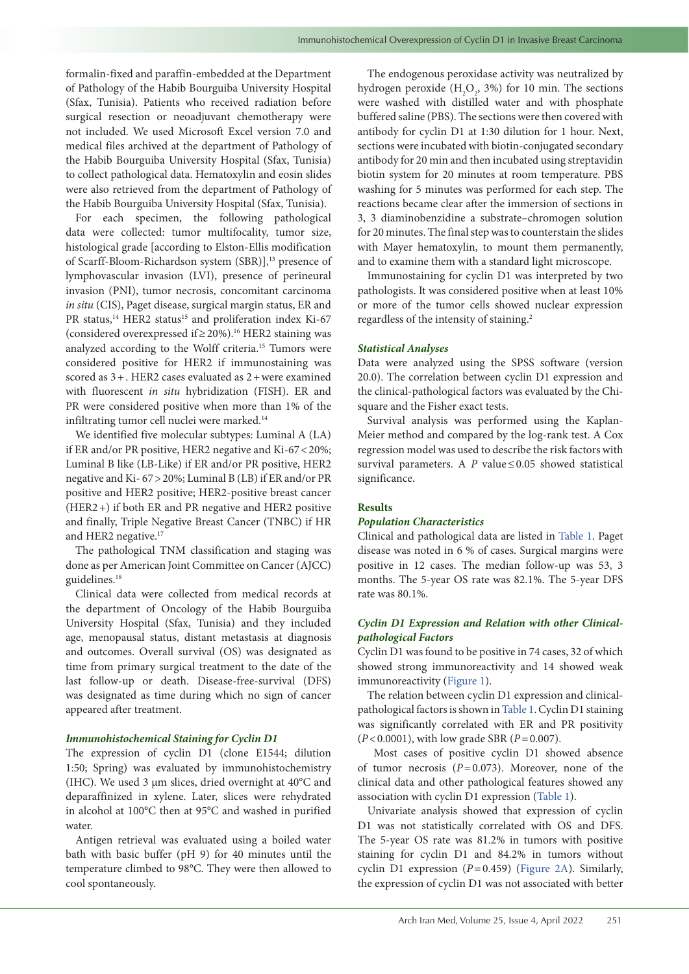formalin-fixed and paraffin-embedded at the Department of Pathology of the Habib Bourguiba University Hospital (Sfax, Tunisia). Patients who received radiation before surgical resection or neoadjuvant chemotherapy were not included. We used Microsoft Excel version 7.0 and medical files archived at the department of Pathology of the Habib Bourguiba University Hospital (Sfax, Tunisia) to collect pathological data. Hematoxylin and eosin slides were also retrieved from the department of Pathology of the Habib Bourguiba University Hospital (Sfax, Tunisia).

For each specimen, the following pathological data were collected: tumor multifocality, tumor size, histological grade [according to Elston-Ellis modification of Scarff-Bloom-Richardson system (SBR)],<sup>13</sup> presence of lymphovascular invasion (LVI), presence of perineural invasion (PNI), tumor necrosis, concomitant carcinoma *in situ* (CIS), Paget disease, surgical margin status, ER and PR status,<sup>14</sup> HER2 status<sup>15</sup> and proliferation index Ki-67 (considered overexpressed if≥20%).16 HER2 staining was analyzed according to the Wolff criteria.15 Tumors were considered positive for HER2 if immunostaining was scored as 3+. HER2 cases evaluated as 2+were examined with fluorescent *in situ* hybridization (FISH). ER and PR were considered positive when more than 1% of the infiltrating tumor cell nuclei were marked.<sup>14</sup>

We identified five molecular subtypes: Luminal A (LA) if ER and/or PR positive, HER2 negative and Ki-67<20%; Luminal B like (LB-Like) if ER and/or PR positive, HER2 negative and Ki- 67>20%; Luminal B (LB) if ER and/or PR positive and HER2 positive; HER2-positive breast cancer (HER2+) if both ER and PR negative and HER2 positive and finally, Triple Negative Breast Cancer (TNBC) if HR and HER2 negative.<sup>17</sup>

The pathological TNM classification and staging was done as per American Joint Committee on Cancer (AJCC) guidelines.<sup>18</sup>

Clinical data were collected from medical records at the department of Oncology of the Habib Bourguiba University Hospital (Sfax, Tunisia) and they included age, menopausal status, distant metastasis at diagnosis and outcomes. Overall survival (OS) was designated as time from primary surgical treatment to the date of the last follow-up or death. Disease-free-survival (DFS) was designated as time during which no sign of cancer appeared after treatment.

### *Immunohistochemical Staining for Cyclin D1*

The expression of cyclin D1 (clone E1544; dilution 1:50; Spring) was evaluated by immunohistochemistry (IHC). We used 3 μm slices, dried overnight at 40°C and deparaffinized in xylene. Later, slices were rehydrated in alcohol at 100°C then at 95°C and washed in purified water.

Antigen retrieval was evaluated using a boiled water bath with basic buffer (pH 9) for 40 minutes until the temperature climbed to 98°C. They were then allowed to cool spontaneously.

The endogenous peroxidase activity was neutralized by hydrogen peroxide  $(H_2O_2, 3\%)$  for 10 min. The sections were washed with distilled water and with phosphate buffered saline (PBS). The sections were then covered with antibody for cyclin D1 at 1:30 dilution for 1 hour. Next, sections were incubated with biotin-conjugated secondary antibody for 20 min and then incubated using streptavidin biotin system for 20 minutes at room temperature. PBS washing for 5 minutes was performed for each step. The reactions became clear after the immersion of sections in 3, 3 diaminobenzidine a substrate–chromogen solution for 20 minutes. The final step was to counterstain the slides with Mayer hematoxylin, to mount them permanently, and to examine them with a standard light microscope.

Immunostaining for cyclin D1 was interpreted by two pathologists. It was considered positive when at least 10% or more of the tumor cells showed nuclear expression regardless of the intensity of staining.<sup>2</sup>

## *Statistical Analyses*

Data were analyzed using the SPSS software (version 20.0). The correlation between cyclin D1 expression and the clinical-pathological factors was evaluated by the Chisquare and the Fisher exact tests.

Survival analysis was performed using the Kaplan-Meier method and compared by the log-rank test. A Cox regression model was used to describe the risk factors with survival parameters. A  $P$  value  $\leq 0.05$  showed statistical significance.

## **Results**

#### *Population Characteristics*

Clinical and pathological data are listed in [Table](#page-2-0) 1. Paget disease was noted in 6 % of cases. Surgical margins were positive in 12 cases. The median follow-up was 53, 3 months. The 5-year OS rate was 82.1%. The 5-year DFS rate was 80.1%.

## *Cyclin D1 Expression and Relation with other Clinicalpathological Factors*

Cyclin D1 was found to be positive in 74 cases, 32 of which showed strong immunoreactivity and 14 showed weak immunoreactivity [\(Figure](#page-3-0) 1).

The relation between cyclin D1 expression and clinicalpathological factors is shown in [Table](#page-2-0) 1. Cyclin D1 staining was significantly correlated with ER and PR positivity (*P*<0.0001), with low grade SBR (*P*=0.007).

 Most cases of positive cyclin D1 showed absence of tumor necrosis  $(P=0.073)$ . Moreover, none of the clinical data and other pathological features showed any association with cyclin D1 expression [\(Table](#page-2-0) 1).

Univariate analysis showed that expression of cyclin D1 was not statistically correlated with OS and DFS. The 5-year OS rate was 81.2% in tumors with positive staining for cyclin D1 and 84.2% in tumors without cyclin D1 expression (*P*=0.459) ([Figure](#page-3-1) 2A). Similarly, the expression of cyclin D1 was not associated with better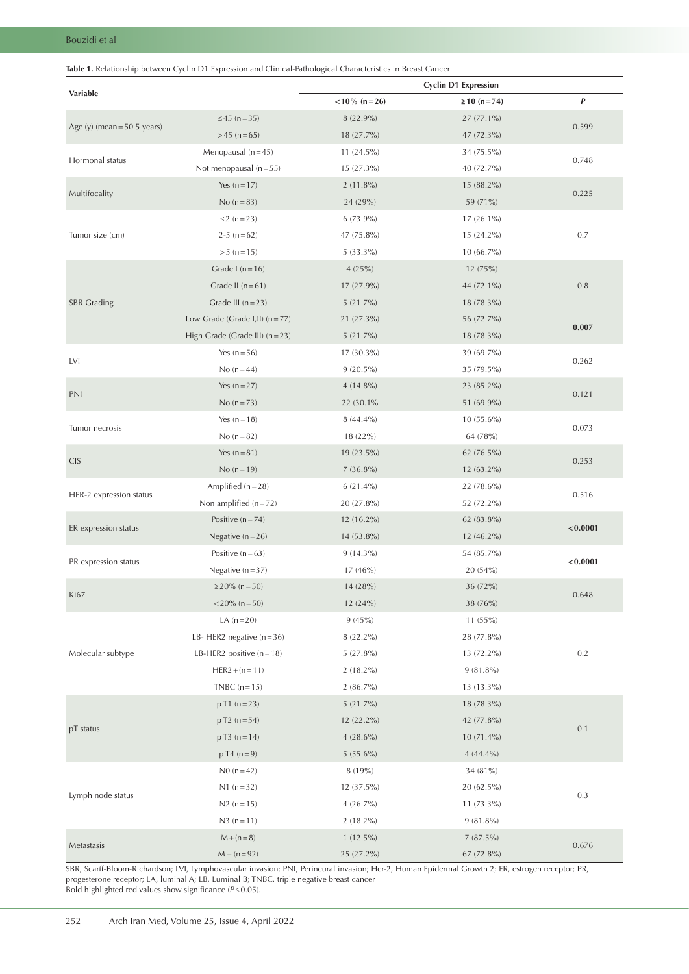<span id="page-2-0"></span>

|                               |                                  | <b>Cyclin D1 Expression</b> |                 |           |  |  |
|-------------------------------|----------------------------------|-----------------------------|-----------------|-----------|--|--|
| Variable                      |                                  | $< 10\%$ (n = 26)           | $≥ 10 (n = 74)$ | $\pmb{P}$ |  |  |
|                               | ≤45 (n=35)                       | 8 (22.9%)                   | 27 (77.1%)      |           |  |  |
| Age (y) (mean = $50.5$ years) | $>45$ (n = 65)                   | 18 (27.7%)                  | 47 (72.3%)      | 0.599     |  |  |
|                               | Menopausal $(n=45)$              | 11 (24.5%)                  | 34 (75.5%)      |           |  |  |
| Hormonal status               | Not menopausal $(n=55)$          | $15(27.3\%)$                | 40 (72.7%)      | 0.748     |  |  |
|                               | Yes $(n = 17)$                   | $2(11.8\%)$                 | 15 (88.2%)      | 0.225     |  |  |
| Multifocality                 | No $(n=83)$                      | 24 (29%)                    | 59 (71%)        |           |  |  |
|                               | $\leq$ 2 (n = 23)                | $6(73.9\%)$                 | 17 (26.1%)      | 0.7       |  |  |
| Tumor size (cm)               | $2-5(n=62)$                      | 47 (75.8%)                  | 15 (24.2%)      |           |  |  |
|                               | $> 5 (n = 15)$                   | $5(33.3\%)$                 | 10 (66.7%)      |           |  |  |
|                               | Grade I $(n=16)$                 | 4(25%)                      | 12 (75%)        |           |  |  |
|                               | Grade II $(n=61)$                | 17 (27.9%)                  | 44 (72.1%)      | 0.8       |  |  |
| <b>SBR</b> Grading            | Grade III $(n=23)$               | 5(21.7%)                    | 18 (78.3%)      |           |  |  |
|                               | Low Grade (Grade I, II) $(n=77)$ | 21 (27.3%)                  | 56 (72.7%)      |           |  |  |
|                               | High Grade (Grade III) $(n=23)$  | $5(21.7\%)$                 | 18 (78.3%)      | 0.007     |  |  |
|                               | Yes $(n=56)$                     | 17 (30.3%)                  | 39 (69.7%)      |           |  |  |
| <b>LVI</b>                    | No $(n=44)$                      | $9(20.5\%)$                 | 35 (79.5%)      | 0.262     |  |  |
|                               | Yes $(n=27)$                     | $4(14.8\%)$                 | 23 (85.2%)      |           |  |  |
| PNI                           | No $(n=73)$                      | 22 (30.1%)                  | 51 (69.9%)      | 0.121     |  |  |
|                               | Yes $(n = 18)$                   | $8(44.4\%)$                 | 10 (55.6%)      |           |  |  |
| Tumor necrosis                | No $(n=82)$                      | 18 (22%)                    | 64 (78%)        | 0.073     |  |  |
|                               | Yes $(n=81)$                     | 19 (23.5%)                  | 62 (76.5%)      |           |  |  |
| <b>CIS</b>                    | No $(n = 19)$                    | $7(36.8\%)$                 | 12 (63.2%)      | 0.253     |  |  |
|                               | Amplified $(n=28)$               | $6(21.4\%)$                 | 22 (78.6%)      |           |  |  |
| HER-2 expression status       | Non amplified $(n=72)$           | 20 (27.8%)                  | 52 (72.2%)      | 0.516     |  |  |
|                               | Positive $(n=74)$                | 12 (16.2%)                  | 62 (83.8%)      |           |  |  |
| ER expression status          | Negative $(n=26)$                | 14 (53.8%)                  | $12(46.2\%)$    | < 0.0001  |  |  |
|                               | Positive $(n=63)$                | $9(14.3\%)$                 | 54 (85.7%)      |           |  |  |
| PR expression status          | Negative $(n=37)$                | 17 (46%)                    | 20 (54%)        | < 0.0001  |  |  |
|                               | $\geq$ 20% (n = 50)              | 14 (28%)                    | 36 (72%)        |           |  |  |
| Ki67                          | $<$ 20% (n = 50)                 | 12 (24%)                    | 38 (76%)        | 0.648     |  |  |
|                               | LA $(n=20)$                      | 9(45%)                      | 11 (55%)        |           |  |  |
|                               | LB-HER2 negative $(n=36)$        | $8(22.2\%)$                 | 28 (77.8%)      |           |  |  |
| Molecular subtype             | LB-HER2 positive $(n=18)$        | $5(27.8\%)$                 | 13 (72.2%)      | $0.2\,$   |  |  |
|                               | $HER2 + (n = 11)$                | $2(18.2\%)$                 | $9(81.8\%)$     |           |  |  |
|                               | TNBC $(n=15)$                    | $2(86.7\%)$                 | 13 (13.3%)      |           |  |  |
|                               | $pT1(n=23)$                      | 5(21.7%)                    | 18 (78.3%)      |           |  |  |
|                               | $p T2 (n = 54)$                  | 12 (22.2%)                  | 42 (77.8%)      |           |  |  |
| pT status                     | $pT3(n=14)$                      | $4(28.6\%)$                 | 10 (71.4%)      | 0.1       |  |  |
|                               | $p T4 (n=9)$                     | $5(55.6\%)$                 | $4(44.4\%)$     |           |  |  |
|                               | $N0(n=42)$                       | 8 (19%)                     | 34 (81%)        |           |  |  |
|                               | $N1 (n=32)$                      | 12 (37.5%)                  | 20 (62.5%)      |           |  |  |
| Lymph node status             | $N2(n=15)$                       | $4(26.7\%)$                 | 11 (73.3%)      | $0.3\,$   |  |  |
|                               | $N3(n=11)$                       | $2(18.2\%)$                 | $9(81.8\%)$     |           |  |  |
|                               | $M + (n = 8)$                    | $1(12.5\%)$                 | 7(87.5%)        |           |  |  |
| Metastasis                    | $M - (n = 92)$                   | 25 (27.2%)                  | 67 (72.8%)      | 0.676     |  |  |

SBR, Scarff-Bloom-Richardson; LVI, Lymphovascular invasion; PNI, Perineural invasion; Her-2, Human Epidermal Growth 2; ER, estrogen receptor; PR, progesterone receptor; LA, luminal A; LB, Luminal B; TNBC, triple negative breast cancer Bold highlighted red values show significance (*P*≤0.05).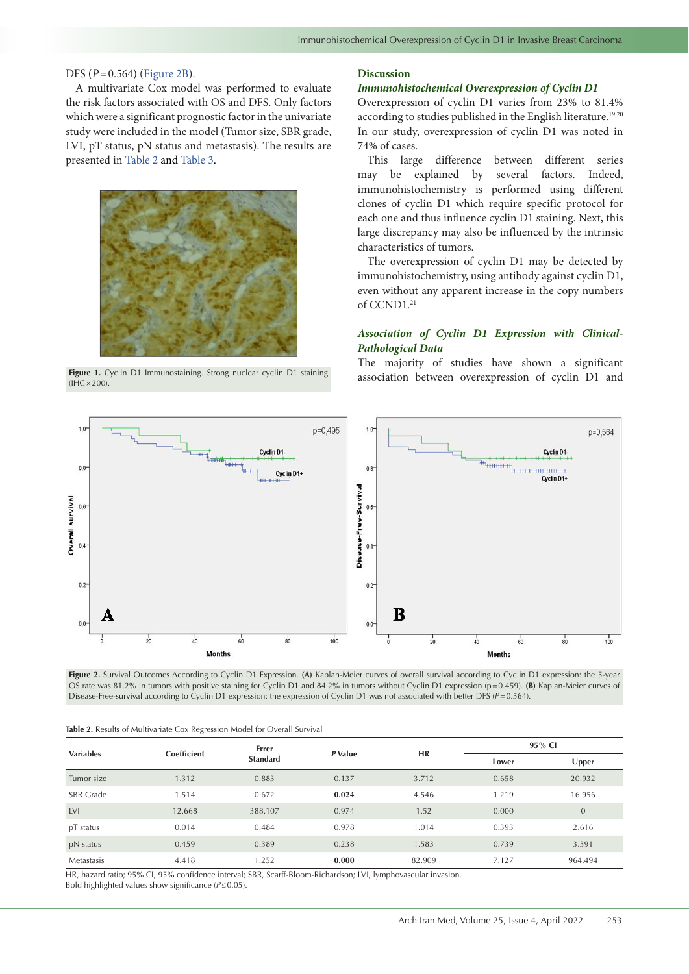## DFS (*P*=0.564) [\(Figure](#page-3-1) 2B).

A multivariate Cox model was performed to evaluate the risk factors associated with OS and DFS. Only factors which were a significant prognostic factor in the univariate study were included in the model (Tumor size, SBR grade, LVI, pT status, pN status and metastasis). The results are presented in [Table](#page-3-2) 2 and [Table](#page-4-0) 3.

<span id="page-3-0"></span>

 $(HHC \times 200)$ 

### **Discussion**

#### *Immunohistochemical Overexpression of Cyclin D1*

Overexpression of cyclin D1 varies from 23% to 81.4% according to studies published in the English literature.<sup>19,20</sup> In our study, overexpression of cyclin D1 was noted in 74% of cases.

This large difference between different series may be explained by several factors. Indeed, immunohistochemistry is performed using different clones of cyclin D1 which require specific protocol for each one and thus influence cyclin D1 staining. Next, this large discrepancy may also be influenced by the intrinsic characteristics of tumors.

The overexpression of cyclin D1 may be detected by immunohistochemistry, using antibody against cyclin D1, even without any apparent increase in the copy numbers of CCND1.<sup>21</sup>

## <span id="page-3-1"></span>*Association of Cyclin D1 Expression with Clinical-Pathological Data*

The majority of studies have shown a significant Figure 1. Cyclin D1 Immunostaining. Strong nuclear cyclin D1 staining<br> **Figure 1. Cyclin D1 and and Cyclin D1 and** 



**Figure 2.** Survival Outcomes According to Cyclin D1 Expression. **(A)** Kaplan-Meier curves of overall survival according to Cyclin D1 expression: the 5-year OS rate was 81.2% in tumors with positive staining for Cyclin D1 and 84.2% in tumors without Cyclin D1 expression (p=0.459). **(B)** Kaplan-Meier curves of Disease-Free-survival according to Cyclin D1 expression: the expression of Cyclin D1 was not associated with better DFS (*P*=0.564).

<span id="page-3-2"></span>

|  |  |  |  |  | Table 2. Results of Multivariate Cox Regression Model for Overall Survival |
|--|--|--|--|--|----------------------------------------------------------------------------|
|--|--|--|--|--|----------------------------------------------------------------------------|

| <b>Variables</b> |             | Errer<br><b>Standard</b> | P Value | <b>HR</b> | 95% CI |              |
|------------------|-------------|--------------------------|---------|-----------|--------|--------------|
|                  | Coefficient |                          |         |           | Lower  | Upper        |
| Tumor size       | 1.312       | 0.883                    | 0.137   | 3.712     | 0.658  | 20.932       |
| <b>SBR</b> Grade | 1.514       | 0.672                    | 0.024   | 4.546     | 1.219  | 16.956       |
| <b>LVI</b>       | 12.668      | 388.107                  | 0.974   | 1.52      | 0.000  | $\mathbf{0}$ |
| pT status        | 0.014       | 0.484                    | 0.978   | 1.014     | 0.393  | 2.616        |
| pN status        | 0.459       | 0.389                    | 0.238   | 1.583     | 0.739  | 3.391        |
| Metastasis       | 4.418       | 1.252                    | 0.000   | 82.909    | 7.127  | 964.494      |

HR, hazard ratio; 95% CI, 95% confidence interval; SBR, Scarff-Bloom-Richardson; LVI, lymphovascular invasion. Bold highlighted values show significance (*P*≤0.05).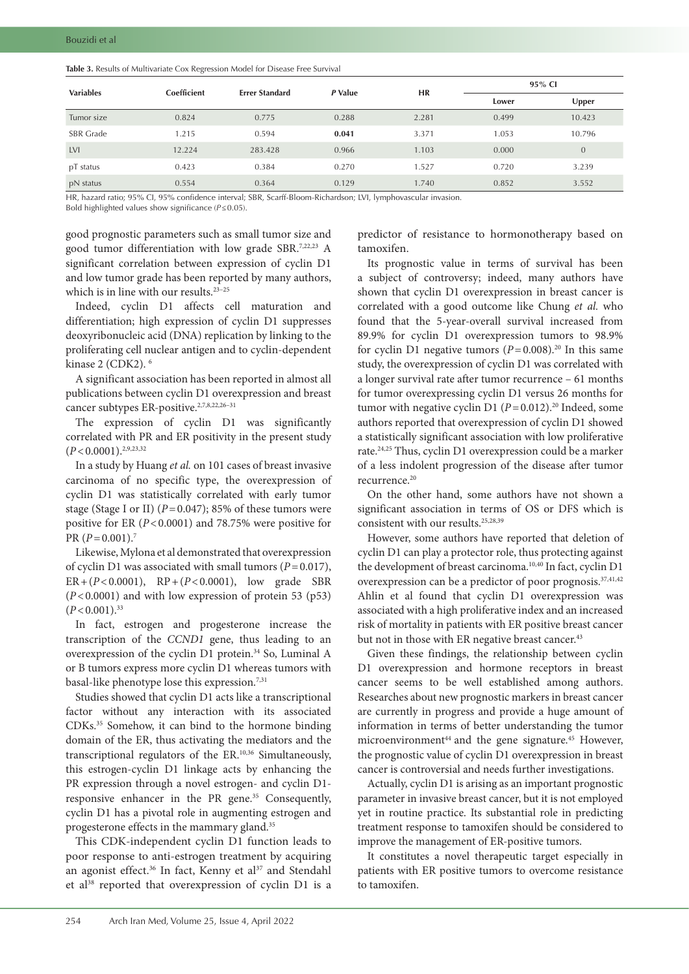| <b>Variables</b> | Coefficient | <b>Errer Standard</b> | P Value | <b>HR</b> | 95% CI |          |
|------------------|-------------|-----------------------|---------|-----------|--------|----------|
|                  |             |                       |         |           | Lower  | Upper    |
| Tumor size       | 0.824       | 0.775                 | 0.288   | 2.281     | 0.499  | 10.423   |
| <b>SBR</b> Grade | 1.215       | 0.594                 | 0.041   | 3.371     | 1.053  | 10.796   |
| <b>LVI</b>       | 12.224      | 283.428               | 0.966   | 1.103     | 0.000  | $\Omega$ |
| pT status        | 0.423       | 0.384                 | 0.270   | 1.527     | 0.720  | 3.239    |
| pN status        | 0.554       | 0.364                 | 0.129   | 1.740     | 0.852  | 3.552    |

<span id="page-4-0"></span>**Table 3.** Results of Multivariate Cox Regression Model for Disease Free Survival

HR, hazard ratio; 95% CI, 95% confidence interval; SBR, Scarff-Bloom-Richardson; LVI, lymphovascular invasion.

Bold highlighted values show significance (*P*≤0.05).

good prognostic parameters such as small tumor size and good tumor differentiation with low grade SBR.7,22,23 A significant correlation between expression of cyclin D1 and low tumor grade has been reported by many authors, which is in line with our results.<sup>23-25</sup>

Indeed, cyclin D1 affects cell maturation and differentiation; high expression of cyclin D1 suppresses deoxyribonucleic acid (DNA) replication by linking to the proliferating cell nuclear antigen and to cyclin-dependent kinase 2 (CDK2). 6

A significant association has been reported in almost all publications between cyclin D1 overexpression and breast cancer subtypes ER-positive.<sup>2,7,8,22,26-31</sup>

The expression of cyclin D1 was significantly correlated with PR and ER positivity in the present study  $(P<0.0001)$ <sup>2,9,23,32</sup>

In a study by Huang *et al.* on 101 cases of breast invasive carcinoma of no specific type, the overexpression of cyclin D1 was statistically correlated with early tumor stage (Stage I or II)  $(P=0.047)$ ; 85% of these tumors were positive for ER (*P*<0.0001) and 78.75% were positive for PR  $(P=0.001)$ .<sup>7</sup>

Likewise, Mylona et al demonstrated that overexpression of cyclin D1 was associated with small tumors (*P*=0.017), ER+(*P*<0.0001), RP+(*P*<0.0001), low grade SBR (*P*<0.0001) and with low expression of protein 53 (p53)  $(P<0.001).$ <sup>33</sup>

In fact, estrogen and progesterone increase the transcription of the *CCND1* gene, thus leading to an overexpression of the cyclin D1 protein.<sup>34</sup> So, Luminal A or B tumors express more cyclin D1 whereas tumors with basal-like phenotype lose this expression.7,31

Studies showed that cyclin D1 acts like a transcriptional factor without any interaction with its associated CDKs.35 Somehow, it can bind to the hormone binding domain of the ER, thus activating the mediators and the transcriptional regulators of the ER.10,36 Simultaneously, this estrogen-cyclin D1 linkage acts by enhancing the PR expression through a novel estrogen- and cyclin D1 responsive enhancer in the PR gene.<sup>35</sup> Consequently, cyclin D1 has a pivotal role in augmenting estrogen and progesterone effects in the mammary gland.<sup>35</sup>

This CDK-independent cyclin D1 function leads to poor response to anti-estrogen treatment by acquiring an agonist effect.<sup>36</sup> In fact, Kenny et al<sup>37</sup> and Stendahl et al<sup>38</sup> reported that overexpression of cyclin D1 is a

predictor of resistance to hormonotherapy based on tamoxifen.

Its prognostic value in terms of survival has been a subject of controversy; indeed, many authors have shown that cyclin D1 overexpression in breast cancer is correlated with a good outcome like Chung *et al.* who found that the 5-year-overall survival increased from 89.9% for cyclin D1 overexpression tumors to 98.9% for cyclin D1 negative tumors  $(P=0.008)$ <sup>20</sup> In this same study, the overexpression of cyclin D1 was correlated with a longer survival rate after tumor recurrence – 61 months for tumor overexpressing cyclin D1 versus 26 months for tumor with negative cyclin D1  $(P=0.012)$ .<sup>20</sup> Indeed, some authors reported that overexpression of cyclin D1 showed a statistically significant association with low proliferative rate.24,25 Thus, cyclin D1 overexpression could be a marker of a less indolent progression of the disease after tumor recurrence.20

On the other hand, some authors have not shown a significant association in terms of OS or DFS which is consistent with our results.25,28,39

However, some authors have reported that deletion of cyclin D1 can play a protector role, thus protecting against the development of breast carcinoma.<sup>10,40</sup> In fact, cyclin D1 overexpression can be a predictor of poor prognosis.37,41,42 Ahlin et al found that cyclin D1 overexpression was associated with a high proliferative index and an increased risk of mortality in patients with ER positive breast cancer but not in those with ER negative breast cancer.<sup>43</sup>

Given these findings, the relationship between cyclin D1 overexpression and hormone receptors in breast cancer seems to be well established among authors. Researches about new prognostic markers in breast cancer are currently in progress and provide a huge amount of information in terms of better understanding the tumor microenvironment<sup>44</sup> and the gene signature.<sup>45</sup> However, the prognostic value of cyclin D1 overexpression in breast cancer is controversial and needs further investigations.

Actually, cyclin D1 is arising as an important prognostic parameter in invasive breast cancer, but it is not employed yet in routine practice. Its substantial role in predicting treatment response to tamoxifen should be considered to improve the management of ER-positive tumors.

It constitutes a novel therapeutic target especially in patients with ER positive tumors to overcome resistance to tamoxifen.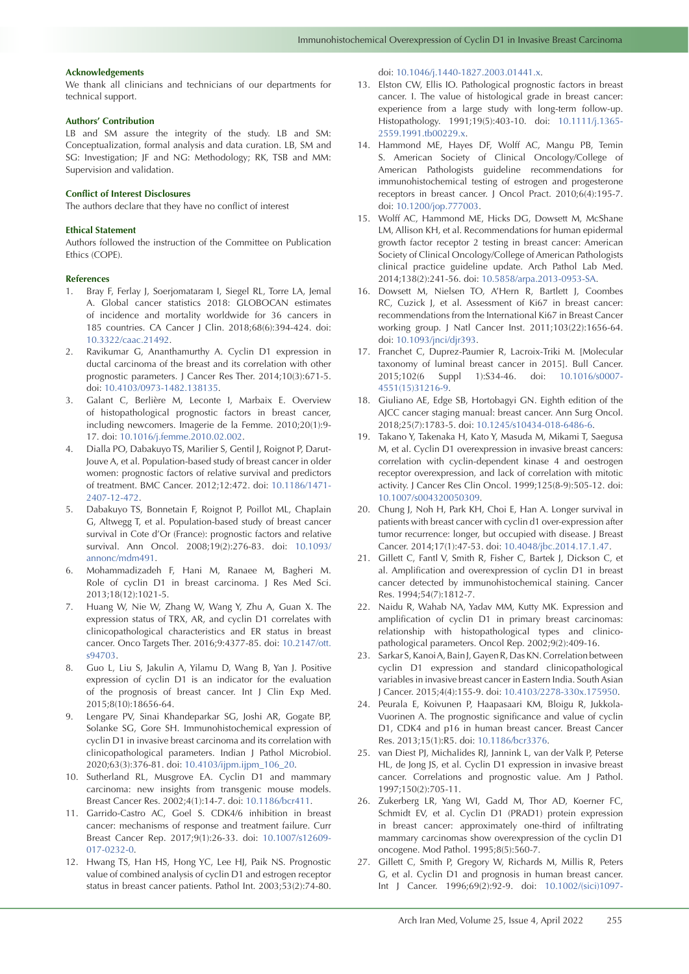#### **Acknowledgements**

We thank all clinicians and technicians of our departments for technical support.

## **Authors' Contribution**

LB and SM assure the integrity of the study. LB and SM: Conceptualization, formal analysis and data curation. LB, SM and SG: Investigation; JF and NG: Methodology; RK, TSB and MM: Supervision and validation.

#### **Conflict of Interest Disclosures**

The authors declare that they have no conflict of interest

#### **Ethical Statement**

Authors followed the instruction of the Committee on Publication Ethics (COPE).

#### **References**

- 1. Bray F, Ferlay J, Soerjomataram I, Siegel RL, Torre LA, Jemal A. Global cancer statistics 2018: GLOBOCAN estimates of incidence and mortality worldwide for 36 cancers in 185 countries. CA Cancer J Clin. 2018;68(6):394-424. doi: [10.3322/caac.21492](https://doi.org/10.3322/caac.21492).
- 2. Ravikumar G, Ananthamurthy A. Cyclin D1 expression in ductal carcinoma of the breast and its correlation with other prognostic parameters. J Cancer Res Ther. 2014;10(3):671-5. doi: [10.4103/0973-1482.138135.](https://doi.org/10.4103/0973-1482.138135)
- 3. Galant C, Berlière M, Leconte I, Marbaix E. Overview of histopathological prognostic factors in breast cancer, including newcomers. Imagerie de la Femme. 2010;20(1):9- 17. doi: [10.1016/j.femme.2010.02.002](https://doi.org/10.1016/j.femme.2010.02.002).
- 4. Dialla PO, Dabakuyo TS, Marilier S, Gentil J, Roignot P, Darut-Jouve A, et al. Population-based study of breast cancer in older women: prognostic factors of relative survival and predictors of treatment. BMC Cancer. 2012;12:472. doi: [10.1186/1471-](https://doi.org/10.1186/1471-2407-12-472) [2407-12-472](https://doi.org/10.1186/1471-2407-12-472).
- 5. Dabakuyo TS, Bonnetain F, Roignot P, Poillot ML, Chaplain G, Altwegg T, et al. Population-based study of breast cancer survival in Cote d'Or (France): prognostic factors and relative survival. Ann Oncol. 2008;19(2):276-83. doi: [10.1093/](https://doi.org/10.1093/annonc/mdm491) [annonc/mdm491.](https://doi.org/10.1093/annonc/mdm491)
- 6. Mohammadizadeh F, Hani M, Ranaee M, Bagheri M. Role of cyclin D1 in breast carcinoma. J Res Med Sci. 2013;18(12):1021-5.
- 7. Huang W, Nie W, Zhang W, Wang Y, Zhu A, Guan X. The expression status of TRX, AR, and cyclin D1 correlates with clinicopathological characteristics and ER status in breast cancer. Onco Targets Ther. 2016;9:4377-85. doi: [10.2147/ott.](https://doi.org/10.2147/ott.s94703) [s94703](https://doi.org/10.2147/ott.s94703).
- 8. Guo L, Liu S, Jakulin A, Yilamu D, Wang B, Yan J. Positive expression of cyclin D1 is an indicator for the evaluation of the prognosis of breast cancer. Int J Clin Exp Med. 2015;8(10):18656-64.
- 9. Lengare PV, Sinai Khandeparkar SG, Joshi AR, Gogate BP, Solanke SG, Gore SH. Immunohistochemical expression of cyclin D1 in invasive breast carcinoma and its correlation with clinicopathological parameters. Indian J Pathol Microbiol. 2020;63(3):376-81. doi: [10.4103/ijpm.ijpm\\_106\\_20](https://doi.org/10.4103/ijpm.ijpm_106_20).
- 10. Sutherland RL, Musgrove EA. Cyclin D1 and mammary carcinoma: new insights from transgenic mouse models. Breast Cancer Res. 2002;4(1):14-7. doi: [10.1186/bcr411](https://doi.org/10.1186/bcr411).
- 11. Garrido-Castro AC, Goel S. CDK4/6 inhibition in breast cancer: mechanisms of response and treatment failure. Curr Breast Cancer Rep. 2017;9(1):26-33. doi: [10.1007/s12609-](https://doi.org/10.1007/s12609-017-0232-0) [017-0232-0.](https://doi.org/10.1007/s12609-017-0232-0)
- 12. Hwang TS, Han HS, Hong YC, Lee HJ, Paik NS. Prognostic value of combined analysis of cyclin D1 and estrogen receptor status in breast cancer patients. Pathol Int. 2003;53(2):74-80.

doi: [10.1046/j.1440-1827.2003.01441.x](https://doi.org/10.1046/j.1440-1827.2003.01441.x).

- 13. Elston CW, Ellis IO. Pathological prognostic factors in breast cancer. I. The value of histological grade in breast cancer: experience from a large study with long-term follow-up. Histopathology. 1991;19(5):403-10. doi: [10.1111/j.1365-](https://doi.org/10.1111/j.1365-2559.1991.tb00229.x) [2559.1991.tb00229.x](https://doi.org/10.1111/j.1365-2559.1991.tb00229.x).
- 14. Hammond ME, Hayes DF, Wolff AC, Mangu PB, Temin S. American Society of Clinical Oncology/College of American Pathologists guideline recommendations for immunohistochemical testing of estrogen and progesterone receptors in breast cancer. J Oncol Pract. 2010;6(4):195-7. doi: [10.1200/jop.777003.](https://doi.org/10.1200/jop.777003)
- 15. Wolff AC, Hammond ME, Hicks DG, Dowsett M, McShane LM, Allison KH, et al. Recommendations for human epidermal growth factor receptor 2 testing in breast cancer: American Society of Clinical Oncology/College of American Pathologists clinical practice guideline update. Arch Pathol Lab Med. 2014;138(2):241-56. doi: [10.5858/arpa.2013-0953-SA](https://doi.org/10.5858/arpa.2013-0953-SA).
- 16. Dowsett M, Nielsen TO, A'Hern R, Bartlett J, Coombes RC, Cuzick J, et al. Assessment of Ki67 in breast cancer: recommendations from the International Ki67 in Breast Cancer working group. J Natl Cancer Inst. 2011;103(22):1656-64. doi: [10.1093/jnci/djr393](https://doi.org/10.1093/jnci/djr393).
- 17. Franchet C, Duprez-Paumier R, Lacroix-Triki M. [Molecular taxonomy of luminal breast cancer in 2015]. Bull Cancer. 2015;102(6 Suppl 1):S34-46. doi: [10.1016/s0007-](https://doi.org/10.1016/s0007-4551(15)31216-9) [4551\(15\)31216-9](https://doi.org/10.1016/s0007-4551(15)31216-9).
- 18. Giuliano AE, Edge SB, Hortobagyi GN. Eighth edition of the AJCC cancer staging manual: breast cancer. Ann Surg Oncol. 2018;25(7):1783-5. doi: [10.1245/s10434-018-6486-6.](https://doi.org/10.1245/s10434-018-6486-6)
- 19. Takano Y, Takenaka H, Kato Y, Masuda M, Mikami T, Saegusa M, et al. Cyclin D1 overexpression in invasive breast cancers: correlation with cyclin-dependent kinase 4 and oestrogen receptor overexpression, and lack of correlation with mitotic activity. J Cancer Res Clin Oncol. 1999;125(8-9):505-12. doi: [10.1007/s004320050309.](https://doi.org/10.1007/s004320050309)
- 20. Chung J, Noh H, Park KH, Choi E, Han A. Longer survival in patients with breast cancer with cyclin d1 over-expression after tumor recurrence: longer, but occupied with disease. J Breast Cancer. 2014;17(1):47-53. doi: [10.4048/jbc.2014.17.1.47.](https://doi.org/10.4048/jbc.2014.17.1.47)
- 21. Gillett C, Fantl V, Smith R, Fisher C, Bartek J, Dickson C, et al. Amplification and overexpression of cyclin D1 in breast cancer detected by immunohistochemical staining. Cancer Res. 1994;54(7):1812-7.
- 22. Naidu R, Wahab NA, Yadav MM, Kutty MK. Expression and amplification of cyclin D1 in primary breast carcinomas: relationship with histopathological types and clinicopathological parameters. Oncol Rep. 2002;9(2):409-16.
- 23. Sarkar S, Kanoi A, Bain J, Gayen R, Das KN. Correlation between cyclin D1 expression and standard clinicopathological variables in invasive breast cancer in Eastern India. South Asian J Cancer. 2015;4(4):155-9. doi: [10.4103/2278-330x.175950.](https://doi.org/10.4103/2278-330x.175950)
- 24. Peurala E, Koivunen P, Haapasaari KM, Bloigu R, Jukkola-Vuorinen A. The prognostic significance and value of cyclin D1, CDK4 and p16 in human breast cancer. Breast Cancer Res. 2013;15(1):R5. doi: [10.1186/bcr3376.](https://doi.org/10.1186/bcr3376)
- 25. van Diest PJ, Michalides RJ, Jannink L, van der Valk P, Peterse HL, de Jong JS, et al. Cyclin D1 expression in invasive breast cancer. Correlations and prognostic value. Am J Pathol. 1997;150(2):705-11.
- 26. Zukerberg LR, Yang WI, Gadd M, Thor AD, Koerner FC, Schmidt EV, et al. Cyclin D1 (PRAD1) protein expression in breast cancer: approximately one-third of infiltrating mammary carcinomas show overexpression of the cyclin D1 oncogene. Mod Pathol. 1995;8(5):560-7.
- 27. Gillett C, Smith P, Gregory W, Richards M, Millis R, Peters G, et al. Cyclin D1 and prognosis in human breast cancer. Int J Cancer. 1996;69(2):92-9. doi: [10.1002/\(sici\)1097-](https://doi.org/10.1002/(sici)1097-0215(19960422)69:2%3c92::aid-ijc4%3e3.0.co;2-q)